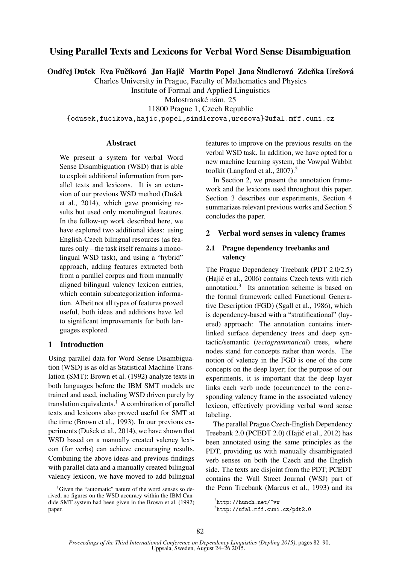# Using Parallel Texts and Lexicons for Verbal Word Sense Disambiguation

Ondřej Dušek Eva Fučíková Jan Hajič Martin Popel Jana Šindlerová Zdeňka Urešová

Charles University in Prague, Faculty of Mathematics and Physics

Institute of Formal and Applied Linguistics

Malostranské nám. 25

11800 Prague 1, Czech Republic

{odusek,fucikova,hajic,popel,sindlerova,uresova}@ufal.mff.cuni.cz

#### Abstract

We present a system for verbal Word Sense Disambiguation (WSD) that is able to exploit additional information from parallel texts and lexicons. It is an extension of our previous WSD method (Dušek et al., 2014), which gave promising results but used only monolingual features. In the follow-up work described here, we have explored two additional ideas: using English-Czech bilingual resources (as features only – the task itself remains a monolingual WSD task), and using a "hybrid" approach, adding features extracted both from a parallel corpus and from manually aligned bilingual valency lexicon entries, which contain subcategorization information. Albeit not all types of features proved useful, both ideas and additions have led to significant improvements for both languages explored.

## 1 Introduction

Using parallel data for Word Sense Disambiguation (WSD) is as old as Statistical Machine Translation (SMT): Brown et al. (1992) analyze texts in both languages before the IBM SMT models are trained and used, including WSD driven purely by translation equivalents.<sup>1</sup> A combination of parallel texts and lexicons also proved useful for SMT at the time (Brown et al., 1993). In our previous experiments (Dušek et al., 2014), we have shown that WSD based on a manually created valency lexicon (for verbs) can achieve encouraging results. Combining the above ideas and previous findings with parallel data and a manually created bilingual valency lexicon, we have moved to add bilingual

features to improve on the previous results on the verbal WSD task. In addition, we have opted for a new machine learning system, the Vowpal Wabbit toolkit (Langford et al., 2007).<sup>2</sup>

In Section 2, we present the annotation framework and the lexicons used throughout this paper. Section 3 describes our experiments, Section 4 summarizes relevant previous works and Section 5 concludes the paper.

## 2 Verbal word senses in valency frames

## 2.1 Prague dependency treebanks and valency

The Prague Dependency Treebank (PDT 2.0/2.5)  $(Haiŭ<sub>c</sub> et al., 2006) contains Czech texts with rich$ annotation.<sup>3</sup> Its annotation scheme is based on the formal framework called Functional Generative Description (FGD) (Sgall et al., 1986), which is dependency-based with a "stratificational" (layered) approach: The annotation contains interlinked surface dependency trees and deep syntactic/semantic (*tectogrammatical*) trees, where nodes stand for concepts rather than words. The notion of valency in the FGD is one of the core concepts on the deep layer; for the purpose of our experiments, it is important that the deep layer links each verb node (occurrence) to the corresponding valency frame in the associated valency lexicon, effectively providing verbal word sense labeling.

The parallel Prague Czech-English Dependency Treebank  $2.0$  (PCEDT  $2.0$ ) (Hajič et al.,  $2012$ ) has been annotated using the same principles as the PDT, providing us with manually disambiguated verb senses on both the Czech and the English side. The texts are disjoint from the PDT; PCEDT contains the Wall Street Journal (WSJ) part of the Penn Treebank (Marcus et al., 1993) and its

<sup>&</sup>lt;sup>1</sup>Given the "automatic" nature of the word senses so derived, no figures on the WSD accuracy within the IBM Candide SMT system had been given in the Brown et al. (1992) paper.

 $^{2}$ http://hunch.net/~vw

<sup>3</sup> http://ufal.mff.cuni.cz/pdt2.0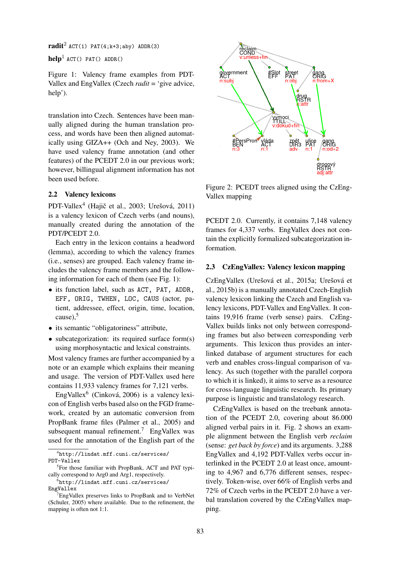$\text{radit}^2$  ACT(1) PAT(4;k+3;aby) ADDR(3)

 $\text{help}^1$  ACT() PAT() ADDR()

Figure 1: Valency frame examples from PDT-Vallex and EngVallex (Czech *radit* = 'give advice, help').

translation into Czech. Sentences have been manually aligned during the human translation process, and words have been then aligned automatically using GIZA++ (Och and Ney, 2003). We have used valency frame annotation (and other features) of the PCEDT 2.0 in our previous work; however, billingual alignment information has not been used before.

## 2.2 Valency lexicons

PDT-Vallex<sup>4</sup> (Hajič et al., 2003; Urešová, 2011) is a valency lexicon of Czech verbs (and nouns), manually created during the annotation of the PDT/PCEDT 2.0.

Each entry in the lexicon contains a headword (lemma), according to which the valency frames (i.e., senses) are grouped. Each valency frame includes the valency frame members and the following information for each of them (see Fig. 1):

- its function label, such as ACT, PAT, ADDR, EFF, ORIG, TWHEN, LOC, CAUS (actor, patient, addressee, effect, origin, time, location, cause), $5$
- its semantic "obligatoriness" attribute.
- subcategorization: its required surface form(s) using morphosyntactic and lexical constraints.

Most valency frames are further accompanied by a note or an example which explains their meaning and usage. The version of PDT-Vallex used here contains 11,933 valency frames for 7,121 verbs.

EngVallex<sup>6</sup> (Cinková, 2006) is a valency lexicon of English verbs based also on the FGD framework, created by an automatic conversion from PropBank frame files (Palmer et al., 2005) and subsequent manual refinement.<sup>7</sup> EngVallex was used for the annotation of the English part of the

4 http://lindat.mff.cuni.cz/services/ PDT-Vallex

<sup>5</sup>For those familiar with PropBank, ACT and PAT typically correspond to Arg0 and Arg1, respectively.



Figure 2: PCEDT trees aligned using the CzEng-Vallex mapping

PCEDT 2.0. Currently, it contains 7,148 valency frames for 4,337 verbs. EngVallex does not contain the explicitly formalized subcategorization information.

### 2.3 CzEngVallex: Valency lexicon mapping

CzEngVallex (Urešová et al., 2015a; Urešová et al., 2015b) is a manually annotated Czech-English valency lexicon linking the Czech and English valency lexicons, PDT-Vallex and EngVallex. It contains 19,916 frame (verb sense) pairs. CzEng-Vallex builds links not only between corresponding frames but also between corresponding verb arguments. This lexicon thus provides an interlinked database of argument structures for each verb and enables cross-lingual comparison of valency. As such (together with the parallel corpora to which it is linked), it aims to serve as a resource for cross-language linguistic research. Its primary purpose is linguistic and translatology research.

CzEngVallex is based on the treebank annotation of the PCEDT 2.0, covering about 86.000 aligned verbal pairs in it. Fig. 2 shows an example alignment between the English verb *reclaim* (sense: *get back by force*) and its arguments. 3,288 EngVallex and 4,192 PDT-Vallex verbs occur interlinked in the PCEDT 2.0 at least once, amounting to 4,967 and 6,776 different senses, respectively. Token-wise, over 66% of English verbs and 72% of Czech verbs in the PCEDT 2.0 have a verbal translation covered by the CzEngVallex mapping.

 $^6$ http://lindat.mff.cuni.cz/services/ EngVallex

<sup>&</sup>lt;sup>7</sup>EngVallex preserves links to PropBank and to VerbNet (Schuler, 2005) where available. Due to the refinement, the mapping is often not 1:1.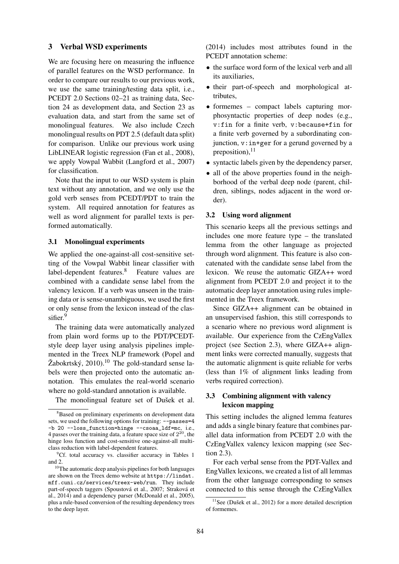#### 3 Verbal WSD experiments

We are focusing here on measuring the influence of parallel features on the WSD performance. In order to compare our results to our previous work, we use the same training/testing data split, i.e., PCEDT 2.0 Sections 02–21 as training data, Section 24 as development data, and Section 23 as evaluation data, and start from the same set of monolingual features. We also include Czech monolingual results on PDT 2.5 (default data split) for comparison. Unlike our previous work using LibLINEAR logistic regression (Fan et al., 2008), we apply Vowpal Wabbit (Langford et al., 2007) for classification.

Note that the input to our WSD system is plain text without any annotation, and we only use the gold verb senses from PCEDT/PDT to train the system. All required annotation for features as well as word alignment for parallel texts is performed automatically.

#### 3.1 Monolingual experiments

We applied the one-against-all cost-sensitive setting of the Vowpal Wabbit linear classifier with label-dependent features.<sup>8</sup> Feature values are combined with a candidate sense label from the valency lexicon. If a verb was unseen in the training data or is sense-unambiguous, we used the first or only sense from the lexicon instead of the classifier.<sup>9</sup>

The training data were automatically analyzed from plain word forms up to the PDT/PCEDTstyle deep layer using analysis pipelines implemented in the Treex NLP framework (Popel and Žabokrtský,  $2010$ .<sup>10</sup> The gold-standard sense labels were then projected onto the automatic annotation. This emulates the real-world scenario where no gold-standard annotation is available.

The monolingual feature set of Dušek et al.

(2014) includes most attributes found in the PCEDT annotation scheme:

- the surface word form of the lexical verb and all its auxiliaries,
- their part-of-speech and morphological attributes,
- formemes compact labels capturing morphosyntactic properties of deep nodes (e.g., v:fin for a finite verb, v:because+fin for a finite verb governed by a subordinating conjunction, v:in+ger for a gerund governed by a preposition), $^{11}$
- syntactic labels given by the dependency parser,
- all of the above properties found in the neighborhood of the verbal deep node (parent, children, siblings, nodes adjacent in the word order).

#### 3.2 Using word alignment

This scenario keeps all the previous settings and includes one more feature type – the translated lemma from the other language as projected through word alignment. This feature is also concatenated with the candidate sense label from the lexicon. We reuse the automatic GIZA++ word alignment from PCEDT 2.0 and project it to the automatic deep layer annotation using rules implemented in the Treex framework.

Since GIZA++ alignment can be obtained in an unsupervised fashion, this still corresponds to a scenario where no previous word alignment is available. Our experience from the CzEngVallex project (see Section 2.3), where GIZA++ alignment links were corrected manually, suggests that the automatic alignment is quite reliable for verbs (less than 1% of alignment links leading from verbs required correction).

## 3.3 Combining alignment with valency lexicon mapping

This setting includes the aligned lemma features and adds a single binary feature that combines parallel data information from PCEDT 2.0 with the CzEngVallex valency lexicon mapping (see Section 2.3).

For each verbal sense from the PDT-Vallex and EngVallex lexicons, we created a list of all lemmas from the other language corresponding to senses connected to this sense through the CzEngVallex

<sup>&</sup>lt;sup>8</sup>Based on preliminary experiments on development data sets, we used the following options for training:  $\frac{1}{2}$  -passes=4 -b 20 --loss\_function=hinge --csoaa\_ldf=mc, i.e., 4 passes over the training data, a feature space size of  $2^{20}$ , the hinge loss function and cost-sensitive one-against-all multiclass reduction with label-dependent features.

 ${}^{9}$ Cf. total accuracy vs. classifier accuracy in Tables 1 and 2.

<sup>10</sup>The automatic deep analysis pipelines for both languages are shown on the Treex demo website at https://lindat. mff.cuni.cz/services/treex-web/run. They include part-of-speech taggers (Spoustová et al., 2007; Straková et al., 2014) and a dependency parser (McDonald et al., 2005), plus a rule-based conversion of the resulting dependency trees to the deep layer.

 $11$ See (Dušek et al., 2012) for a more detailed description of formemes.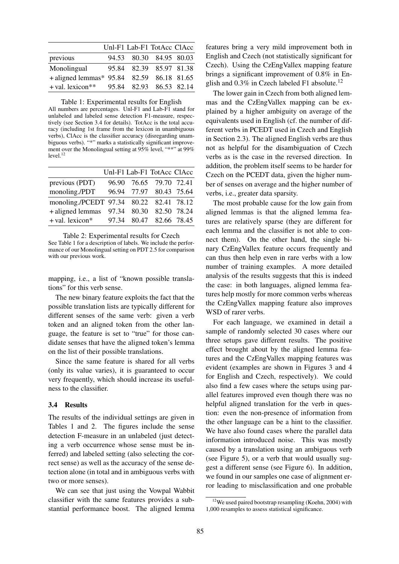|                                           | Unl-F1 Lab-F1 TotAcc ClAcc |  |
|-------------------------------------------|----------------------------|--|
| previous                                  | 94.53 80.30 84.95 80.03    |  |
| Monolingual                               | 95.84 82.39 85.97 81.38    |  |
| + aligned lemmas* 95.84 82.59 86.18 81.65 |                            |  |
| + val. lexicon <sup>**</sup>              | 95.84 82.93 86.53 82.14    |  |

Table 1: Experimental results for English All numbers are percentages. Unl-F1 and Lab-F1 stand for unlabeled and labeled sense detection F1-measure, respectively (see Section 3.4 for details). TotAcc is the total accuracy (including 1st frame from the lexicon in unambiguous verbs), ClAcc is the classifier accuracy (disregarding unambiguous verbs). "\*" marks a statistically significant improvement over the Monolingual setting at 95% level, "\*\*" at 99%  $level.<sup>12</sup>$ 

|                                         | Unl-F1 Lab-F1 TotAcc ClAcc |  |
|-----------------------------------------|----------------------------|--|
| previous (PDT)                          | 96.90 76.65 79.70 72.41    |  |
| monoling./PDT                           | 96.94 77.97 80.43 75.64    |  |
| monoling./PCEDT 97.34 80.22 82.41 78.12 |                            |  |
| +aligned lemmas 97.34 80.30 82.50 78.24 |                            |  |
| + val. lexicon*                         | 97.34 80.47 82.66 78.45    |  |

Table 2: Experimental results for Czech See Table 1 for a description of labels. We include the performance of our Monolingual setting on PDT 2.5 for comparison with our previous work.

mapping, i.e., a list of "known possible translations" for this verb sense.

The new binary feature exploits the fact that the possible translation lists are typically different for different senses of the same verb: given a verb token and an aligned token from the other language, the feature is set to "true" for those candidate senses that have the aligned token's lemma on the list of their possible translations.

Since the same feature is shared for all verbs (only its value varies), it is guaranteed to occur very frequently, which should increase its usefulness to the classifier.

#### 3.4 Results

The results of the individual settings are given in Tables 1 and 2. The figures include the sense detection F-measure in an unlabeled (just detecting a verb occurrence whose sense must be inferred) and labeled setting (also selecting the correct sense) as well as the accuracy of the sense detection alone (in total and in ambiguous verbs with two or more senses).

We can see that just using the Vowpal Wabbit classifier with the same features provides a substantial performance boost. The aligned lemma features bring a very mild improvement both in English and Czech (not statistically significant for Czech). Using the CzEngVallex mapping feature brings a significant improvement of 0.8% in English and  $0.3\%$  in Czech labeled F1 absolute.<sup>12</sup>

The lower gain in Czech from both aligned lemmas and the CzEngVallex mapping can be explained by a higher ambiguity on average of the equivalents used in English (cf. the number of different verbs in PCEDT used in Czech and English in Section 2.3). The aligned English verbs are thus not as helpful for the disambiguation of Czech verbs as is the case in the reversed direction. In addition, the problem itself seems to be harder for Czech on the PCEDT data, given the higher number of senses on average and the higher number of verbs, i.e., greater data sparsity.

The most probable cause for the low gain from aligned lemmas is that the aligned lemma features are relatively sparse (they are different for each lemma and the classifier is not able to connect them). On the other hand, the single binary CzEngVallex feature occurs frequently and can thus then help even in rare verbs with a low number of training examples. A more detailed analysis of the results suggests that this is indeed the case: in both languages, aligned lemma features help mostly for more common verbs whereas the CzEngVallex mapping feature also improves WSD of rarer verbs.

For each language, we examined in detail a sample of randomly selected 30 cases where our three setups gave different results. The positive effect brought about by the aligned lemma features and the CzEngVallex mapping features was evident (examples are shown in Figures 3 and 4 for English and Czech, respectively). We could also find a few cases where the setups using parallel features improved even though there was no helpful aligned translation for the verb in question: even the non-presence of information from the other language can be a hint to the classifier. We have also found cases where the parallel data information introduced noise. This was mostly caused by a translation using an ambiguous verb (see Figure 5), or a verb that would usually suggest a different sense (see Figure 6). In addition, we found in our samples one case of alignment error leading to misclassification and one probable

 $12$ We used paired bootstrap resampling (Koehn, 2004) with 1,000 resamples to assess statistical significance.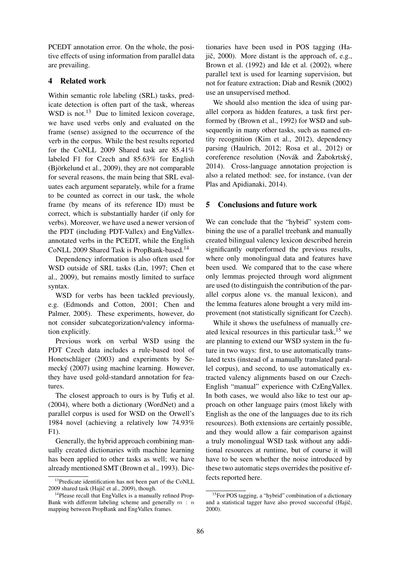PCEDT annotation error. On the whole, the positive effects of using information from parallel data are prevailing.

## 4 Related work

Within semantic role labeling (SRL) tasks, predicate detection is often part of the task, whereas WSD is not. $^{13}$  Due to limited lexicon coverage, we have used verbs only and evaluated on the frame (sense) assigned to the occurrence of the verb in the corpus. While the best results reported for the CoNLL 2009 Shared task are 85.41% labeled F1 for Czech and 85.63% for English (Björkelund et al., 2009), they are not comparable for several reasons, the main being that SRL evaluates each argument separately, while for a frame to be counted as correct in our task, the whole frame (by means of its reference ID) must be correct, which is substantially harder (if only for verbs). Moreover, we have used a newer version of the PDT (including PDT-Vallex) and EngVallexannotated verbs in the PCEDT, while the English CoNLL 2009 Shared Task is PropBank-based.<sup>14</sup>

Dependency information is also often used for WSD outside of SRL tasks (Lin, 1997; Chen et al., 2009), but remains mostly limited to surface syntax.

WSD for verbs has been tackled previously, e.g. (Edmonds and Cotton, 2001; Chen and Palmer, 2005). These experiments, however, do not consider subcategorization/valency information explicitly.

Previous work on verbal WSD using the PDT Czech data includes a rule-based tool of Honetschläger (2003) and experiments by Semecký (2007) using machine learning. However, they have used gold-standard annotation for features.

The closest approach to ours is by Tufis et al. (2004), where both a dictionary (WordNet) and a parallel corpus is used for WSD on the Orwell's 1984 novel (achieving a relatively low 74.93% F1).

Generally, the hybrid approach combining manually created dictionaries with machine learning has been applied to other tasks as well; we have already mentioned SMT (Brown et al., 1993). Dic-

tionaries have been used in POS tagging (Haiič,  $2000$ ). More distant is the approach of, e.g., Brown et al. (1992) and Ide et al. (2002), where parallel text is used for learning supervision, but not for feature extraction; Diab and Resnik (2002) use an unsupervised method.

We should also mention the idea of using parallel corpora as hidden features, a task first performed by (Brown et al., 1992) for WSD and subsequently in many other tasks, such as named entity recognition (Kim et al., 2012), dependency parsing (Haulrich, 2012; Rosa et al., 2012) or coreference resolution (Novák and Žabokrtský, 2014). Cross-language annotation projection is also a related method: see, for instance, (van der Plas and Apidianaki, 2014).

## 5 Conclusions and future work

We can conclude that the "hybrid" system combining the use of a parallel treebank and manually created bilingual valency lexicon described herein significantly outperformed the previous results, where only monolingual data and features have been used. We compared that to the case where only lemmas projected through word alignment are used (to distinguish the contribution of the parallel corpus alone vs. the manual lexicon), and the lemma features alone brought a very mild improvement (not statistically significant for Czech).

While it shows the usefulness of manually created lexical resources in this particular task, $15$  we are planning to extend our WSD system in the future in two ways: first, to use automatically translated texts (instead of a manually translated parallel corpus), and second, to use automatically extracted valency alignments based on our Czech-English "manual" experience with CzEngVallex. In both cases, we would also like to test our approach on other language pairs (most likely with English as the one of the languages due to its rich resources). Both extensions are certainly possible, and they would allow a fair comparison against a truly monolingual WSD task without any additional resources at runtime, but of course it will have to be seen whether the noise introduced by these two automatic steps overrides the positive effects reported here.

<sup>&</sup>lt;sup>13</sup>Predicate identification has not been part of the CoNLL 2009 shared task (Hajič et al., 2009), though.

<sup>&</sup>lt;sup>14</sup>Please recall that EngVallex is a manually refined Prop-Bank with different labeling scheme and generally  $m : n$ mapping between PropBank and EngVallex frames.

<sup>&</sup>lt;sup>15</sup>For POS tagging, a "hybrid" combination of a dictionary and a statistical tagger have also proved successful  $(Haji\varepsilon,`')$ 2000).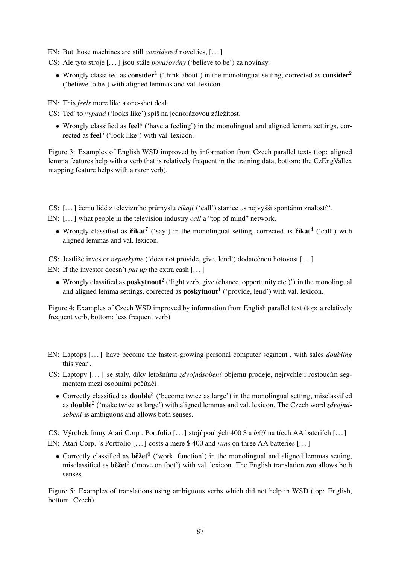EN: But those machines are still *considered* novelties, [. . . ]

- CS: Ale tyto stroje [. . . ] jsou stále *považovány* ('believe to be') za novinky.
	- Wrongly classified as **consider**<sup>1</sup> ('think about') in the monolingual setting, corrected as **consider**<sup>2</sup> ('believe to be') with aligned lemmas and val. lexicon.

EN: This *feels* more like a one-shot deal.

- CS: Ted' to *vypadá* ('looks like') spíš na jednorázovou záležitost.
	- Wrongly classified as  $\text{feel}^4$  ('have a feeling') in the monolingual and aligned lemma settings, corrected as **feel**<sup>5</sup> ('look like') with val. lexicon.

Figure 3: Examples of English WSD improved by information from Czech parallel texts (top: aligned lemma features help with a verb that is relatively frequent in the training data, bottom: the CzEngVallex mapping feature helps with a rarer verb).

CS: [...] čemu lidé z televizního průmyslu *říkají* ('call') stanice "s nejvyšší spontánní znalostí".

EN: [...] what people in the television industry *call* a "top of mind" network.

• Wrongly classified as  $\check{r}$ **kat**<sup>7</sup> ('say') in the monolingual setting, corrected as  $\check{r}$ **kat**<sup>4</sup> ('call') with aligned lemmas and val. lexicon.

CS: Jestliže investor *neposkytne* ('does not provide, give, lend') dodatečnou hotovost [...]

EN: If the investor doesn't *put up* the extra cash [...]

• Wrongly classified as **poskytnout**<sup>2</sup> ('light verb, give (chance, opportunity etc.)') in the monolingual and aligned lemma settings, corrected as  $\text{poskytnout}^1$  ('provide, lend') with val. lexicon.

Figure 4: Examples of Czech WSD improved by information from English parallel text (top: a relatively frequent verb, bottom: less frequent verb).

- EN: Laptops [. . . ] have become the fastest-growing personal computer segment , with sales *doubling* this year .
- CS: Laptopy [. . . ] se staly, díky letošnímu *zdvojnásobení* objemu prodeje, nejrychleji rostoucím segmentem mezi osobními počítači.
	- Correctly classified as **double**<sup>3</sup> ('become twice as large') in the monolingual setting, misclassified as double<sup>2</sup> ('make twice as large') with aligned lemmas and val. lexicon. The Czech word *zdvojnásobení* is ambiguous and allows both senses.

CS: Výrobek firmy Atari Corp . Portfolio [...] stojí pouhých 400 \$ a *běží* na třech AA bateriích [...] EN: Atari Corp. 's Portfolio [. . . ] costs a mere \$ 400 and *runs* on three AA batteries [. . . ]

• Correctly classified as **bežet** <sup>6</sup> ('work, function') in the monolingual and aligned lemmas setting, misclassified as **běžet**<sup>3</sup> ('move on foot') with val. lexicon. The English translation *run* allows both senses.

Figure 5: Examples of translations using ambiguous verbs which did not help in WSD (top: English, bottom: Czech).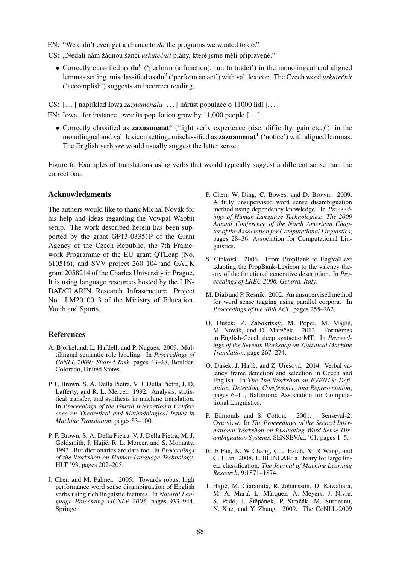EN: "We didn't even get a chance to *do* the programs we wanted to do."

CS: "Nedali nám žádnou šanci *uskutečnit* plány, které jsme měli připravené."

• Correctly classified as  $\mathbf{do}^6$  ('perform (a function), run (a trade)') in the monolingual and aligned lemmas setting, misclassified as  $do^2$  ('perform an act') with val. lexicon. The Czech word *uskutečnit* ('accomplish') suggests an incorrect reading.

CS: [...] například Iowa *zaznamenala* [...] nárůst populace o 11000 lidí [...]

- EN: Iowa, for instance, *saw* its population grow by 11,000 people [...]
	- Correctly classified as **zaznamenat**<sup>5</sup> ('light verb, experience (rise, difficulty, gain etc.)') in the monolingual and val. lexicon setting, misclassified as **zaznamenat**<sup>1</sup> ('notice') with aligned lemmas. The English verb *see* would usually suggest the latter sense.

Figure 6: Examples of translations using verbs that would typically suggest a different sense than the correct one.

## Acknowledgments

The authors would like to thank Michal Novák for his help and ideas regarding the Vowpal Wabbit setup. The work described herein has been supported by the grant GP13-03351P of the Grant Agency of the Czech Republic, the 7th Framework Programme of the EU grant QTLeap (No. 610516), and SVV project 260 104 and GAUK grant 2058214 of the Charles University in Prague. It is using language resources hosted by the LIN-DAT/CLARIN Research Infrastructure, Project No. LM2010013 of the Ministry of Education, Youth and Sports.

#### References

- A. Björkelund, L. Hafdell, and P. Nugues. 2009. Multilingual semantic role labeling. In *Proceedings of CoNLL 2009: Shared Task*, pages 43–48, Boulder, Colorado, United States.
- P. F. Brown, S. A. Della Pietra, V. J. Della Pietra, J. D. Lafferty, and R. L. Mercer. 1992. Analysis, statistical transfer, and synthesis in machine translation. In *Proceedings of the Fourth International Conference on Theoretical and Methodological Issues in Machine Translation*, pages 83–100.
- P. F. Brown, S. A. Della Pietra, V. J. Della Pietra, M. J. Goldsmith, J. Hajič, R. L. Mercer, and S. Mohanty. 1993. But dictionaries are data too. In *Proceedings of the Workshop on Human Language Technology*, HLT '93, pages 202–205.
- J. Chen and M. Palmer. 2005. Towards robust high performance word sense disambiguation of English verbs using rich linguistic features. In *Natural Language Processing–IJCNLP 2005*, pages 933–944. Springer.
- P. Chen, W. Ding, C. Bowes, and D. Brown. 2009. A fully unsupervised word sense disambiguation method using dependency knowledge. In *Proceedings of Human Language Technologies: The 2009 Annual Conference of the North American Chapter of the Association for Computational Linguistics*, pages 28–36. Association for Computational Linguistics.
- S. Cinková. 2006. From PropBank to EngValLex: adapting the PropBank-Lexicon to the valency theory of the functional generative description. In *Proceedings of LREC 2006, Genova, Italy*.
- M. Diab and P. Resnik. 2002. An unsupervised method for word sense tagging using parallel corpora. In *Proceedings of the 40th ACL*, pages 255–262.
- O. Dušek, Z. Žabokrtský, M. Popel, M. Majliš, M. Novák, and D. Mareček. 2012. Formemes in English-Czech deep syntactic MT. In *Proceedings of the Seventh Workshop on Statistical Machine Translation*, page 267–274.
- O. Dušek, J. Hajič, and Z. Urešová. 2014. Verbal valency frame detection and selection in Czech and English. In *The 2nd Workshop on EVENTS: Definition, Detection, Coreference, and Representation*, pages 6–11, Baltimore. Association for Computational Linguistics.
- P. Edmonds and S. Cotton. 2001. Senseval-2: Overview. In *The Proceedings of the Second International Workshop on Evaluating Word Sense Disambiguation Systems*, SENSEVAL '01, pages 1–5.
- R. E Fan, K. W Chang, C. J Hsieh, X. R Wang, and C. J Lin. 2008. LIBLINEAR: a library for large linear classification. *The Journal of Machine Learning Research*, 9:1871–1874.
- J. Hajič, M. Ciaramita, R. Johansson, D. Kawahara, M. A. Martí, L. Màrquez, A. Meyers, J. Nivre, S. Padó, J. Štěpánek, P. Straňák, M. Surdeanu, N. Xue, and Y. Zhang. 2009. The CoNLL-2009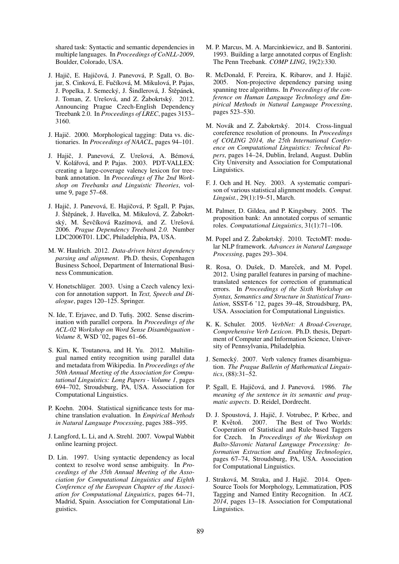shared task: Syntactic and semantic dependencies in multiple languages. In *Proceedings of CoNLL-2009*, Boulder, Colorado, USA.

- J. Hajič, E. Hajičová, J. Panevová, P. Sgall, O. Bojar, S. Cinková, E. Fučíková, M. Mikulová, P. Pajas, J. Popelka, J. Semecký, J. Šindlerová, J. Štěpánek, J. Toman, Z. Urešová, and Z. Žabokrtský. 2012. Announcing Prague Czech-English Dependency Treebank 2.0. In *Proceedings of LREC*, pages 3153– 3160.
- J. Hajič. 2000. Morphological tagging: Data vs. dictionaries. In *Proceedings of NAACL*, pages 94–101.
- J. Hajič, J. Panevová, Z. Urešová, A. Bémová, V. Kolářová, and P. Pajas. 2003. PDT-VALLEX: creating a large-coverage valency lexicon for treebank annotation. In *Proceedings of The 2nd Workshop on Treebanks and Linguistic Theories*, volume 9, page 57–68.
- J. Hajič, J. Panevová, E. Hajičová, P. Sgall, P. Pajas, J. Štěpánek, J. Havelka, M. Mikulová, Z. Žabokrtský, M. Ševčíková Razímová, and Z. Urešová. 2006. *Prague Dependency Treebank 2.0*. Number LDC2006T01. LDC, Philadelphia, PA, USA.
- M. W. Haulrich. 2012. *Data-driven bitext dependency parsing and alignment*. Ph.D. thesis, Copenhagen Business School, Department of International Business Communication.
- V. Honetschläger. 2003. Using a Czech valency lexicon for annotation support. In *Text, Speech and Dialogue*, pages 120–125. Springer.
- N. Ide, T. Erjavec, and D. Tufiş. 2002. Sense discrimination with parallel corpora. In *Proceedings of the ACL-02 Workshop on Word Sense Disambiguation - Volume 8*, WSD '02, pages 61–66.
- S. Kim, K. Toutanova, and H. Yu. 2012. Multilingual named entity recognition using parallel data and metadata from Wikipedia. In *Proceedings of the 50th Annual Meeting of the Association for Computational Linguistics: Long Papers - Volume 1*, pages 694–702, Stroudsburg, PA, USA. Association for Computational Linguistics.
- P. Koehn. 2004. Statistical significance tests for machine translation evaluation. In *Empirical Methods in Natural Language Processing*, pages 388–395.
- J. Langford, L. Li, and A. Strehl. 2007. Vowpal Wabbit online learning project.
- D. Lin. 1997. Using syntactic dependency as local context to resolve word sense ambiguity. In *Proceedings of the 35th Annual Meeting of the Association for Computational Linguistics and Eighth Conference of the European Chapter of the Association for Computational Linguistics*, pages 64–71, Madrid, Spain. Association for Computational Linguistics.
- M. P. Marcus, M. A. Marcinkiewicz, and B. Santorini. 1993. Building a large annotated corpus of English: The Penn Treebank. *COMP LING*, 19(2):330.
- R. McDonald, F. Pereira, K. Ribarov, and J. Hajič. 2005. Non-projective dependency parsing using spanning tree algorithms. In *Proceedings of the conference on Human Language Technology and Empirical Methods in Natural Language Processing*, pages 523–530.
- M. Novák and Z. Žabokrtský. 2014. Cross-lingual coreference resolution of pronouns. In *Proceedings of COLING 2014, the 25th International Conference on Computational Linguistics: Technical Papers*, pages 14–24, Dublin, Ireland, August. Dublin City University and Association for Computational Linguistics.
- F. J. Och and H. Ney. 2003. A systematic comparison of various statistical alignment models. *Comput. Linguist.*, 29(1):19–51, March.
- M. Palmer, D. Gildea, and P. Kingsbury. 2005. The proposition bank: An annotated corpus of semantic roles. *Computational Linguistics*, 31(1):71–106.
- M. Popel and Z. Žabokrtský. 2010. TectoMT: modular NLP framework. *Advances in Natural Language Processing*, pages 293–304.
- R. Rosa, O. Dušek, D. Mareček, and M. Popel. 2012. Using parallel features in parsing of machinetranslated sentences for correction of grammatical errors. In *Proceedings of the Sixth Workshop on Syntax, Semantics and Structure in Statistical Translation*, SSST-6 '12, pages 39–48, Stroudsburg, PA, USA. Association for Computational Linguistics.
- K. K. Schuler. 2005. *VerbNet: A Broad-Coverage, Comprehensive Verb Lexicon*. Ph.D. thesis, Department of Computer and Information Science, University of Pennsylvania, Philadelphia.
- J. Semecký. 2007. Verb valency frames disambiguation. *The Prague Bulletin of Mathematical Linguistics*, (88):31–52.
- P. Sgall, E. Hajičová, and J. Panevová. 1986. The *meaning of the sentence in its semantic and pragmatic aspects*. D. Reidel, Dordrecht.
- D. J. Spoustová, J. Hajič, J. Votrubec, P. Krbec, and P. Květoň. 2007. The Best of Two Worlds: Cooperation of Statistical and Rule-based Taggers for Czech. In *Proceedings of the Workshop on Balto-Slavonic Natural Language Processing: Information Extraction and Enabling Technologies*, pages 67–74, Stroudsburg, PA, USA. Association for Computational Linguistics.
- J. Straková, M. Straka, and J. Hajič. 2014. Open-Source Tools for Morphology, Lemmatization, POS Tagging and Named Entity Recognition. In *ACL 2014*, pages 13–18. Association for Computational Linguistics.